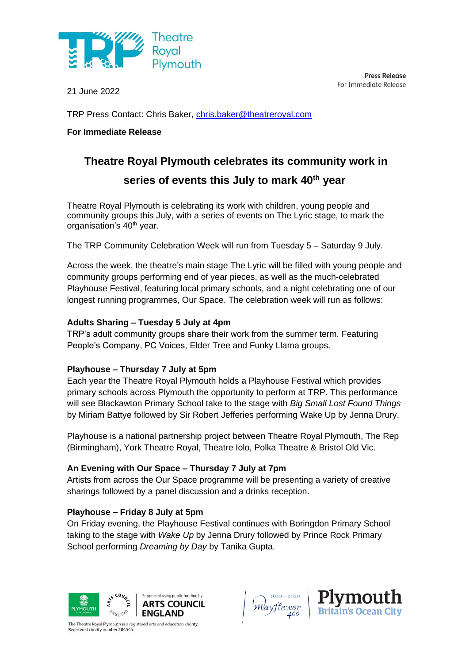

21 June 2022

**Press Release** For Immediate Release

TRP Press Contact: Chris Baker, [chris.baker@theatreroyal.com](mailto:chris.baker@theatreroyal.com)

# **For Immediate Release**

# **Theatre Royal Plymouth celebrates its community work in series of events this July to mark 40th year**

Theatre Royal Plymouth is celebrating its work with children, young people and community groups this July, with a series of events on The Lyric stage, to mark the organisation's 40<sup>th</sup> year.

The TRP Community Celebration Week will run from Tuesday 5 – Saturday 9 July.

Across the week, the theatre's main stage The Lyric will be filled with young people and community groups performing end of year pieces, as well as the much-celebrated Playhouse Festival, featuring local primary schools, and a night celebrating one of our longest running programmes, Our Space. The celebration week will run as follows:

#### **Adults Sharing – Tuesday 5 July at 4pm**

TRP's adult community groups share their work from the summer term. Featuring People's Company, PC Voices, Elder Tree and Funky Llama groups.

# **Playhouse – Thursday 7 July at 5pm**

Each year the Theatre Royal Plymouth holds a Playhouse Festival which provides primary schools across Plymouth the opportunity to perform at TRP. This performance will see Blackawton Primary School take to the stage with *Big Small Lost Found Things* by Miriam Battye followed by Sir Robert Jefferies performing Wake Up by Jenna Drury.

Playhouse is a national partnership project between Theatre Royal Plymouth, The Rep (Birmingham), York Theatre Royal, Theatre Iolo, Polka Theatre & Bristol Old Vic.

# **An Evening with Our Space – Thursday 7 July at 7pm**

Artists from across the Our Space programme will be presenting a variety of creative sharings followed by a panel discussion and a drinks reception.

# **Playhouse – Friday 8 July at 5pm**

On Friday evening, the Playhouse Festival continues with Boringdon Primary School taking to the stage with *Wake Up* by Jenna Drury followed by Prince Rock Primary School performing *Dreaming by Day* by Tanika Gupta.



The Theatre Royal Plymouth is a registered arts and education charity. egistered charity number 284545



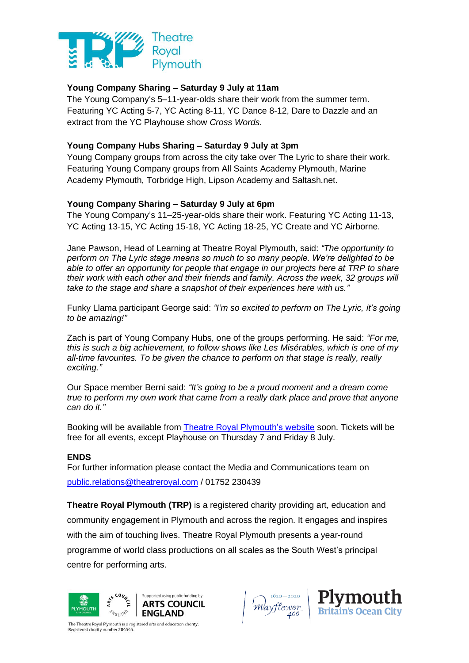

#### **Young Company Sharing – Saturday 9 July at 11am**

The Young Company's 5–11-year-olds share their work from the summer term. Featuring YC Acting 5-7, YC Acting 8-11, YC Dance 8-12, Dare to Dazzle and an extract from the YC Playhouse show *Cross Words*.

#### **Young Company Hubs Sharing – Saturday 9 July at 3pm**

Young Company groups from across the city take over The Lyric to share their work. Featuring Young Company groups from All Saints Academy Plymouth, Marine Academy Plymouth, Torbridge High, Lipson Academy and Saltash.net.

#### **Young Company Sharing – Saturday 9 July at 6pm**

The Young Company's 11–25-year-olds share their work. Featuring YC Acting 11-13, YC Acting 13-15, YC Acting 15-18, YC Acting 18-25, YC Create and YC Airborne.

Jane Pawson, Head of Learning at Theatre Royal Plymouth, said: *"The opportunity to perform on The Lyric stage means so much to so many people. We're delighted to be able to offer an opportunity for people that engage in our projects here at TRP to share their work with each other and their friends and family. Across the week, 32 groups will take to the stage and share a snapshot of their experiences here with us."*

Funky Llama participant George said: *"I'm so excited to perform on The Lyric, it's going to be amazing!"*

Zach is part of Young Company Hubs, one of the groups performing. He said: *"For me, this is such a big achievement, to follow shows like Les Misérables, which is one of my all-time favourites. To be given the chance to perform on that stage is really, really exciting."*

Our Space member Berni said: *"It's going to be a proud moment and a dream come true to perform my own work that came from a really dark place and prove that anyone can do it."*

Booking will be available from [Theatre Royal Plymouth's website](http://theatreroyal.com/) soon. Tickets will be free for all events, except Playhouse on Thursday 7 and Friday 8 July.

#### **ENDS**

For further information please contact the Media and Communications team on [public.relations@theatreroyal.com](mailto:public.relations@theatreroyal.com) / 01752 230439

**Theatre Royal Plymouth (TRP)** is a registered charity providing art, education and community engagement in Plymouth and across the region. It engages and inspires with the aim of touching lives. Theatre Royal Plymouth presents a year-round programme of world class productions on all scales as the South West's principal centre for performing arts.







The Theatre Royal Plymouth is a registered arts and education charity. Registered charity number 284545